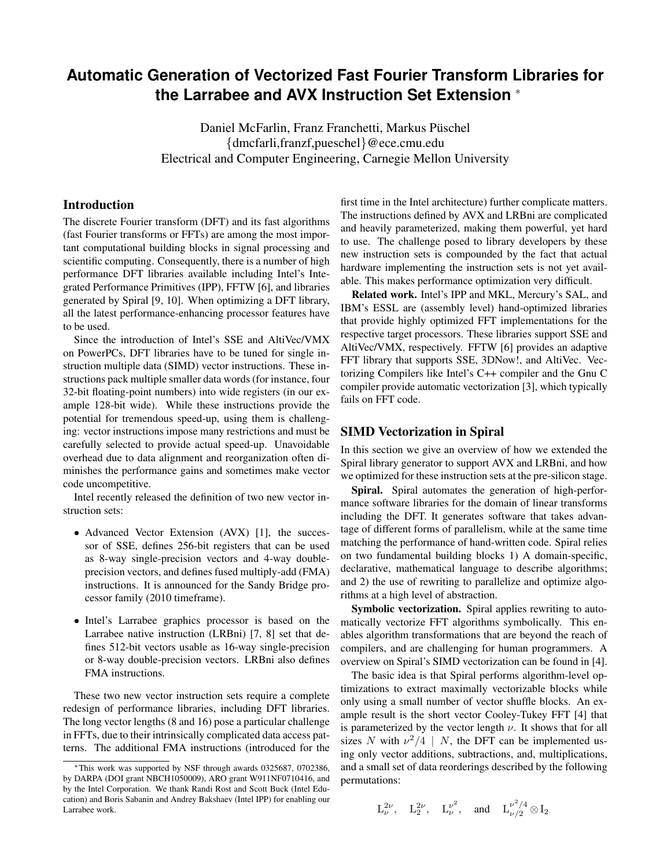# **Automatic Generation of Vectorized Fast Fourier Transform Libraries for the Larrabee and AVX Instruction Set Extension** <sup>∗</sup>

Daniel McFarlin, Franz Franchetti, Markus Püschel {dmcfarli,franzf,pueschel}@ece.cmu.edu Electrical and Computer Engineering, Carnegie Mellon University

### Introduction

The discrete Fourier transform (DFT) and its fast algorithms (fast Fourier transforms or FFTs) are among the most important computational building blocks in signal processing and scientific computing. Consequently, there is a number of high performance DFT libraries available including Intel's Integrated Performance Primitives (IPP), FFTW [6], and libraries generated by Spiral [9, 10]. When optimizing a DFT library, all the latest performance-enhancing processor features have to be used.

Since the introduction of Intel's SSE and AltiVec/VMX on PowerPCs, DFT libraries have to be tuned for single instruction multiple data (SIMD) vector instructions. These instructions pack multiple smaller data words (for instance, four 32-bit floating-point numbers) into wide registers (in our example 128-bit wide). While these instructions provide the potential for tremendous speed-up, using them is challenging: vector instructions impose many restrictions and must be carefully selected to provide actual speed-up. Unavoidable overhead due to data alignment and reorganization often diminishes the performance gains and sometimes make vector code uncompetitive.

Intel recently released the definition of two new vector instruction sets:

- Advanced Vector Extension (AVX) [1], the successor of SSE, defines 256-bit registers that can be used as 8-way single-precision vectors and 4-way doubleprecision vectors, and defines fused multiply-add (FMA) instructions. It is announced for the Sandy Bridge processor family (2010 timeframe).
- Intel's Larrabee graphics processor is based on the Larrabee native instruction (LRBni) [7, 8] set that defines 512-bit vectors usable as 16-way single-precision or 8-way double-precision vectors. LRBni also defines FMA instructions.

These two new vector instruction sets require a complete redesign of performance libraries, including DFT libraries. The long vector lengths (8 and 16) pose a particular challenge in FFTs, due to their intrinsically complicated data access patterns. The additional FMA instructions (introduced for the

first time in the Intel architecture) further complicate matters. The instructions defined by AVX and LRBni are complicated and heavily parameterized, making them powerful, yet hard to use. The challenge posed to library developers by these new instruction sets is compounded by the fact that actual hardware implementing the instruction sets is not yet available. This makes performance optimization very difficult.

Related work. Intel's IPP and MKL, Mercury's SAL, and IBM's ESSL are (assembly level) hand-optimized libraries that provide highly optimized FFT implementations for the respective target processors. These libraries support SSE and AltiVec/VMX, respectively. FFTW [6] provides an adaptive FFT library that supports SSE, 3DNow!, and AltiVec. Vectorizing Compilers like Intel's C++ compiler and the Gnu C compiler provide automatic vectorization [3], which typically fails on FFT code.

## SIMD Vectorization in Spiral

In this section we give an overview of how we extended the Spiral library generator to support AVX and LRBni, and how we optimized for these instruction sets at the pre-silicon stage.

Spiral. Spiral automates the generation of high-performance software libraries for the domain of linear transforms including the DFT. It generates software that takes advantage of different forms of parallelism, while at the same time matching the performance of hand-written code. Spiral relies on two fundamental building blocks 1) A domain-specific, declarative, mathematical language to describe algorithms; and 2) the use of rewriting to parallelize and optimize algorithms at a high level of abstraction.

Symbolic vectorization. Spiral applies rewriting to automatically vectorize FFT algorithms symbolically. This enables algorithm transformations that are beyond the reach of compilers, and are challenging for human programmers. A overview on Spiral's SIMD vectorization can be found in [4].

The basic idea is that Spiral performs algorithm-level optimizations to extract maximally vectorizable blocks while only using a small number of vector shuffle blocks. An example result is the short vector Cooley-Tukey FFT [4] that is parameterized by the vector length  $\nu$ . It shows that for all sizes N with  $\nu^2/4$  | N, the DFT can be implemented using only vector additions, subtractions, and, multiplications, and a small set of data reorderings described by the following permutations:

$$
L^{2\nu}_{\nu}, \quad L^{2\nu}_{2}, \quad L^{ \nu^{2}}_{\nu}, \quad \text{and} \quad L^{ \nu^{2}/4}_{\nu/2} \otimes I_{2}
$$

<sup>∗</sup>This work was supported by NSF through awards 0325687, 0702386, by DARPA (DOI grant NBCH1050009), ARO grant W911NF0710416, and by the Intel Corporation. We thank Randi Rost and Scott Buck (Intel Education) and Boris Sabanin and Andrey Bakshaev (Intel IPP) for enabling our Larrabee work.